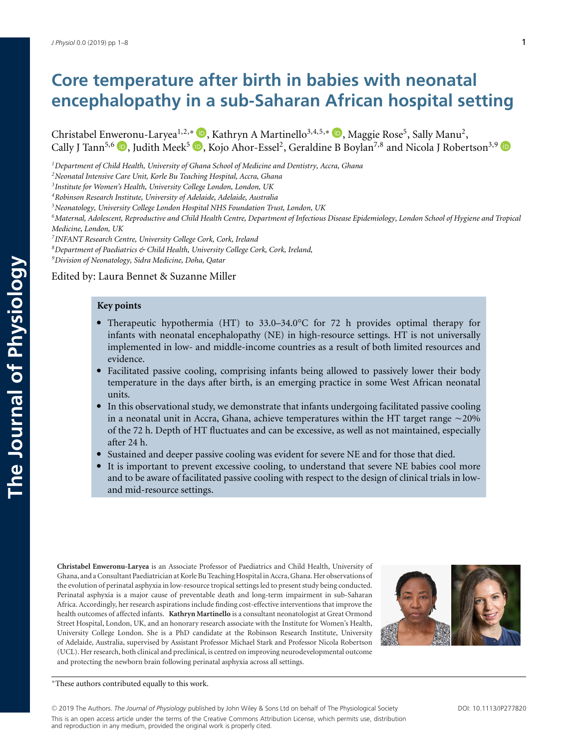# **Core temperature after birth in babies with neonatal encephalopathy in a sub-Saharan African hospital setting**

Christabel En[wero](https://orcid.org/0000-0003-0131-4952)nu-Laryea<sup>1[,](https://orcid.org/0000-0002-7490-7313)2,∗</sup> D, Kathryn A Martinello<sup>3,4,5,∗</sup> D, Maggie Rose<sup>5</sup>, Sally Manu<sup>2</sup>, Cally J Tann<sup>5[,](https://orcid.org/0000-0002-9816-4577)6</sup>  $\Box$ , Judith Meek<sup>5</sup>  $\Box$ , Kojo Ahor-Essel<sup>2</sup>, Geraldine B Boylan<sup>7,8</sup> and Nicola J Robertson<sup>3,9</sup>

*1Department of Child Health, University of Ghana School of Medicine and Dentistry, Accra, Ghana*

*3Institute for Women's Health, University College London, London, UK*

*4Robinson Research Institute, University of Adelaide, Adelaide, Australia*

*5Neonatology, University College London Hospital NHS Foundation Trust, London, UK*

*6Maternal, Adolescent, Reproductive and Child Health Centre, Department of Infectious Disease Epidemiology, London School of Hygiene and Tropical Medicine, London, UK*

*7INFANT Research Centre, University College Cork, Cork, Ireland*

*8Department of Paediatrics & Child Health, University College Cork, Cork, Ireland,*

*9Division of Neonatology, Sidra Medicine, Doha, Qatar*

# Edited by: Laura Bennet & Suzanne Miller

# **Key points**

- Therapeutic hypothermia (HT) to 33.0–34.0°C for 72 h provides optimal therapy for infants with neonatal encephalopathy (NE) in high-resource settings. HT is not universally implemented in low- and middle-income countries as a result of both limited resources and evidence.
- Facilitated passive cooling, comprising infants being allowed to passively lower their body temperature in the days after birth, is an emerging practice in some West African neonatal units.
- In this observational study, we demonstrate that infants undergoing facilitated passive cooling in a neonatal unit in Accra, Ghana, achieve temperatures within the HT target range  ${\sim}20\%$ of the 72 h. Depth of HT fluctuates and can be excessive, as well as not maintained, especially after 24 h.
- Sustained and deeper passive cooling was evident for severe NE and for those that died.
- It is important to prevent excessive cooling, to understand that severe NE babies cool more and to be aware of facilitated passive cooling with respect to the design of clinical trials in lowand mid-resource settings.

**Christabel Enweronu-Laryea** is an Associate Professor of Paediatrics and Child Health, University of Ghana, and a Consultant Paediatrician at Korle Bu Teaching Hospital in Accra, Ghana. Her observations of the evolution of perinatal asphyxia in low-resource tropical settings led to present study being conducted. Perinatal asphyxia is a major cause of preventable death and long-term impairment in sub-Saharan Africa. Accordingly, her research aspirations include finding cost-effective interventions that improve the health outcomes of affected infants. **Kathryn Martinello** is a consultant neonatologist at Great Ormond Street Hospital, London, UK, and an honorary research associate with the Institute for Women's Health, University College London. She is a PhD candidate at the Robinson Research Institute, University of Adelaide, Australia, supervised by Assistant Professor Michael Stark and Professor Nicola Robertson (UCL). Her research, both clinical and preclinical, is centred on improving neurodevelopmental outcome and protecting the newborn brain following perinatal asphyxia across all settings.



<sup>∗</sup>These authors contributed equally to this work.

<sup>C</sup> 2019 The Authors. *The Journal of Physiology* published by John Wiley & Sons Ltd on behalf of The Physiological Society DOI: 10.1113/JP277820 This is an open access article under the terms of the Creative Commons Attribution License, which permits use, distribution and reproduction in any medium, provided the original work is properly cited.

*<sup>2</sup>Neonatal Intensive Care Unit, Korle Bu Teaching Hospital, Accra, Ghana*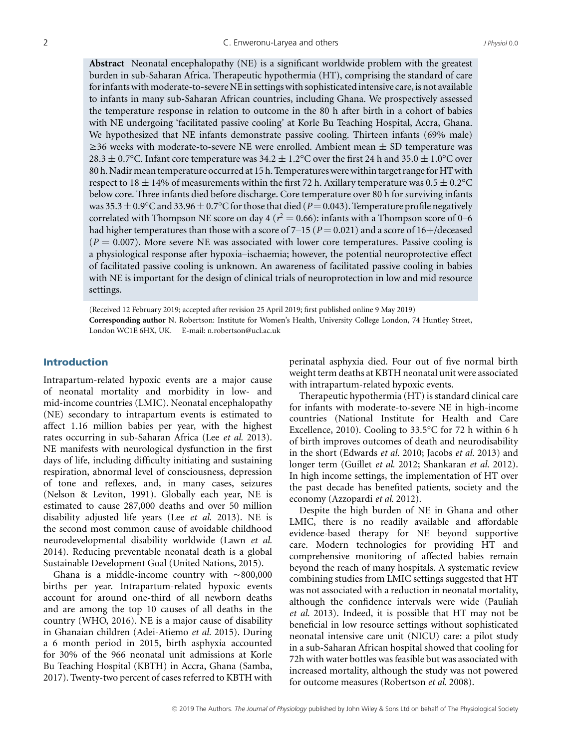**Abstract** Neonatal encephalopathy (NE) is a significant worldwide problem with the greatest burden in sub-Saharan Africa. Therapeutic hypothermia (HT), comprising the standard of care for infants with moderate-to-severe NE in settings with sophisticated intensive care, is not available to infants in many sub-Saharan African countries, including Ghana. We prospectively assessed the temperature response in relation to outcome in the 80 h after birth in a cohort of babies with NE undergoing 'facilitated passive cooling' at Korle Bu Teaching Hospital, Accra, Ghana. We hypothesized that NE infants demonstrate passive cooling. Thirteen infants (69% male)  $\geq$ 36 weeks with moderate-to-severe NE were enrolled. Ambient mean  $\pm$  SD temperature was 28.3  $\pm$  0.7°C. Infant core temperature was 34.2  $\pm$  1.2°C over the first 24 h and 35.0  $\pm$  1.0°C over 80 h. Nadir mean temperature occurred at 15 h. Temperatures were within target rangefor HT with respect to  $18 \pm 14\%$  of measurements within the first 72 h. Axillary temperature was  $0.5 \pm 0.2$ °C below core. Three infants died before discharge. Core temperature over 80 h for surviving infants was  $35.3 \pm 0.9$ °C and  $33.96 \pm 0.7$ °C for those that died (*P*=0.043). Temperature profile negatively correlated with Thompson NE score on day 4 ( $r^2 = 0.66$ ): infants with a Thompson score of 0–6 had higher temperatures than those with a score of  $7-15$  ( $P = 0.021$ ) and a score of  $16+/deceased$  $(P = 0.007)$ . More severe NE was associated with lower core temperatures. Passive cooling is a physiological response after hypoxia–ischaemia; however, the potential neuroprotective effect of facilitated passive cooling is unknown. An awareness of facilitated passive cooling in babies with NE is important for the design of clinical trials of neuroprotection in low and mid resource settings.

(Received 12 February 2019; accepted after revision 25 April 2019; first published online 9 May 2019) **Corresponding author** N. Robertson: Institute for Women's Health, University College London, 74 Huntley Street, London WC1E 6HX, UK. E-mail: n.robertson@ucl.ac.uk

# **Introduction**

Intrapartum-related hypoxic events are a major cause of neonatal mortality and morbidity in low- and mid-income countries (LMIC). Neonatal encephalopathy (NE) secondary to intrapartum events is estimated to affect 1.16 million babies per year, with the highest rates occurring in sub-Saharan Africa (Lee *et al.* 2013). NE manifests with neurological dysfunction in the first days of life, including difficulty initiating and sustaining respiration, abnormal level of consciousness, depression of tone and reflexes, and, in many cases, seizures (Nelson & Leviton, 1991). Globally each year, NE is estimated to cause 287,000 deaths and over 50 million disability adjusted life years (Lee *et al.* 2013). NE is the second most common cause of avoidable childhood neurodevelopmental disability worldwide (Lawn *et al.* 2014). Reducing preventable neonatal death is a global Sustainable Development Goal (United Nations, 2015).

Ghana is a middle-income country with  $\sim$ 800,000 births per year. Intrapartum-related hypoxic events account for around one-third of all newborn deaths and are among the top 10 causes of all deaths in the country (WHO, 2016). NE is a major cause of disability in Ghanaian children (Adei-Atiemo *et al.* 2015). During a 6 month period in 2015, birth asphyxia accounted for 30% of the 966 neonatal unit admissions at Korle Bu Teaching Hospital (KBTH) in Accra, Ghana (Samba, 2017). Twenty-two percent of cases referred to KBTH with perinatal asphyxia died. Four out of five normal birth weight term deaths at KBTH neonatal unit were associated with intrapartum-related hypoxic events.

Therapeutic hypothermia (HT) is standard clinical care for infants with moderate-to-severe NE in high-income countries (National Institute for Health and Care Excellence, 2010). Cooling to 33.5°C for 72 h within 6 h of birth improves outcomes of death and neurodisability in the short (Edwards *et al.* 2010; Jacobs *et al.* 2013) and longer term (Guillet *et al.* 2012; Shankaran *et al.* 2012). In high income settings, the implementation of HT over the past decade has benefited patients, society and the economy (Azzopardi *et al.* 2012).

Despite the high burden of NE in Ghana and other LMIC, there is no readily available and affordable evidence-based therapy for NE beyond supportive care. Modern technologies for providing HT and comprehensive monitoring of affected babies remain beyond the reach of many hospitals. A systematic review combining studies from LMIC settings suggested that HT was not associated with a reduction in neonatal mortality, although the confidence intervals were wide (Pauliah *et al.* 2013). Indeed, it is possible that HT may not be beneficial in low resource settings without sophisticated neonatal intensive care unit (NICU) care: a pilot study in a sub-Saharan African hospital showed that cooling for 72h with water bottles was feasible but was associated with increased mortality, although the study was not powered for outcome measures (Robertson *et al.* 2008).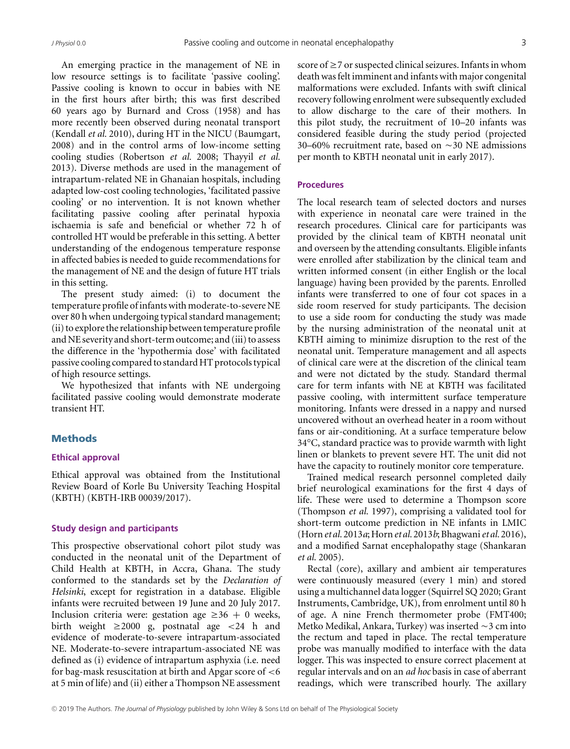An emerging practice in the management of NE in low resource settings is to facilitate 'passive cooling'. Passive cooling is known to occur in babies with NE in the first hours after birth; this was first described 60 years ago by Burnard and Cross (1958) and has more recently been observed during neonatal transport (Kendall *et al.* 2010), during HT in the NICU (Baumgart, 2008) and in the control arms of low-income setting cooling studies (Robertson *et al.* 2008; Thayyil *et al.* 2013). Diverse methods are used in the management of intrapartum-related NE in Ghanaian hospitals, including adapted low-cost cooling technologies, 'facilitated passive cooling' or no intervention. It is not known whether facilitating passive cooling after perinatal hypoxia ischaemia is safe and beneficial or whether 72 h of controlled HT would be preferable in this setting. A better understanding of the endogenous temperature response in affected babies is needed to guide recommendations for the management of NE and the design of future HT trials in this setting.

The present study aimed: (i) to document the temperature profile of infants with moderate-to-severe NE over 80 h when undergoing typical standard management; (ii) to explore the relationship between temperature profile and NE severity and short-term outcome; and (iii) to assess the difference in the 'hypothermia dose' with facilitated passive cooling compared to standard HT protocols typical of high resource settings.

We hypothesized that infants with NE undergoing facilitated passive cooling would demonstrate moderate transient HT.

# **Methods**

# **Ethical approval**

Ethical approval was obtained from the Institutional Review Board of Korle Bu University Teaching Hospital (KBTH) (KBTH-IRB 00039/2017).

# **Study design and participants**

This prospective observational cohort pilot study was conducted in the neonatal unit of the Department of Child Health at KBTH, in Accra, Ghana. The study conformed to the standards set by the *Declaration of Helsinki*, except for registration in a database. Eligible infants were recruited between 19 June and 20 July 2017. Inclusion criteria were: gestation age  $\geq 36 + 0$  weeks, birth weight  $\geq 2000$  g, postnatal age  $\lt 24$  h and evidence of moderate-to-severe intrapartum-associated NE. Moderate-to-severe intrapartum-associated NE was defined as (i) evidence of intrapartum asphyxia (i.e. need for bag-mask resuscitation at birth and Apgar score of <6 at 5 min of life) and (ii) either a Thompson NE assessment

score of  $\geq$  7 or suspected clinical seizures. Infants in whom death was felt imminent and infants with major congenital malformations were excluded. Infants with swift clinical recovery following enrolment were subsequently excluded to allow discharge to the care of their mothers. In this pilot study, the recruitment of 10–20 infants was considered feasible during the study period (projected 30–60% recruitment rate, based on  $\sim$  30 NE admissions per month to KBTH neonatal unit in early 2017).

# **Procedures**

The local research team of selected doctors and nurses with experience in neonatal care were trained in the research procedures. Clinical care for participants was provided by the clinical team of KBTH neonatal unit and overseen by the attending consultants. Eligible infants were enrolled after stabilization by the clinical team and written informed consent (in either English or the local language) having been provided by the parents. Enrolled infants were transferred to one of four cot spaces in a side room reserved for study participants. The decision to use a side room for conducting the study was made by the nursing administration of the neonatal unit at KBTH aiming to minimize disruption to the rest of the neonatal unit. Temperature management and all aspects of clinical care were at the discretion of the clinical team and were not dictated by the study. Standard thermal care for term infants with NE at KBTH was facilitated passive cooling, with intermittent surface temperature monitoring. Infants were dressed in a nappy and nursed uncovered without an overhead heater in a room without fans or air-conditioning. At a surface temperature below 34°C, standard practice was to provide warmth with light linen or blankets to prevent severe HT. The unit did not have the capacity to routinely monitor core temperature.

Trained medical research personnel completed daily brief neurological examinations for the first 4 days of life. These were used to determine a Thompson score (Thompson *et al.* 1997), comprising a validated tool for short-term outcome prediction in NE infants in LMIC (Horn*et al.* 2013*a*; Horn*et al.* 2013*b*; Bhagwani*et al.* 2016), and a modified Sarnat encephalopathy stage (Shankaran *et al.* 2005).

Rectal (core), axillary and ambient air temperatures were continuously measured (every 1 min) and stored using a multichannel data logger (Squirrel SQ 2020; Grant Instruments, Cambridge, UK), from enrolment until 80 h of age. A nine French thermometer probe (FMT400; Metko Medikal, Ankara, Turkey) was inserted  $\sim$ 3 cm into the rectum and taped in place. The rectal temperature probe was manually modified to interface with the data logger. This was inspected to ensure correct placement at regular intervals and on an *ad hoc* basis in case of aberrant readings, which were transcribed hourly. The axillary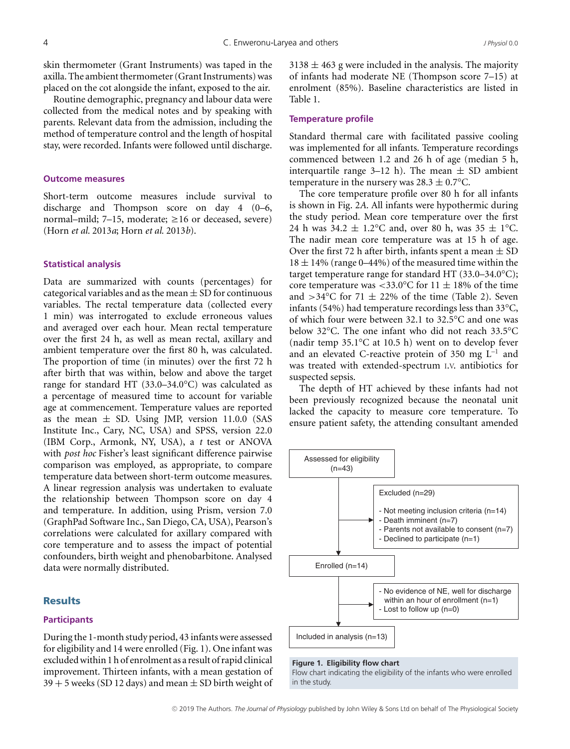skin thermometer (Grant Instruments) was taped in the axilla. The ambient thermometer (Grant Instruments) was placed on the cot alongside the infant, exposed to the air.

Routine demographic, pregnancy and labour data were collected from the medical notes and by speaking with parents. Relevant data from the admission, including the method of temperature control and the length of hospital stay, were recorded. Infants were followed until discharge.

## **Outcome measures**

Short-term outcome measures include survival to discharge and Thompson score on day 4 (0–6, normal–mild; 7–15, moderate;  $\geq 16$  or deceased, severe) (Horn *et al.* 2013*a*; Horn *et al.* 2013*b*).

#### **Statistical analysis**

Data are summarized with counts (percentages) for categorical variables and as the mean  $\pm$  SD for continuous variables. The rectal temperature data (collected every 1 min) was interrogated to exclude erroneous values and averaged over each hour. Mean rectal temperature over the first 24 h, as well as mean rectal, axillary and ambient temperature over the first 80 h, was calculated. The proportion of time (in minutes) over the first 72 h after birth that was within, below and above the target range for standard HT (33.0–34.0°C) was calculated as a percentage of measured time to account for variable age at commencement. Temperature values are reported as the mean  $\pm$  SD. Using JMP, version 11.0.0 (SAS Institute Inc., Cary, NC, USA) and SPSS, version 22.0 (IBM Corp., Armonk, NY, USA), a *t* test or ANOVA with *post hoc* Fisher's least significant difference pairwise comparison was employed, as appropriate, to compare temperature data between short-term outcome measures. A linear regression analysis was undertaken to evaluate the relationship between Thompson score on day 4 and temperature. In addition, using Prism, version 7.0 (GraphPad Software Inc., San Diego, CA, USA), Pearson's correlations were calculated for axillary compared with core temperature and to assess the impact of potential confounders, birth weight and phenobarbitone. Analysed data were normally distributed.

# **Results**

## **Participants**

During the 1-month study period, 43 infants were assessed for eligibility and 14 were enrolled (Fig. 1). One infant was excluded within 1 h of enrolment as a result of rapid clinical improvement. Thirteen infants, with a mean gestation of  $39 + 5$  weeks (SD 12 days) and mean  $\pm$  SD birth weight of  $3138 \pm 463$  g were included in the analysis. The majority of infants had moderate NE (Thompson score 7–15) at enrolment (85%). Baseline characteristics are listed in Table 1.

#### **Temperature profile**

Standard thermal care with facilitated passive cooling was implemented for all infants. Temperature recordings commenced between 1.2 and 26 h of age (median 5 h, interquartile range 3–12 h). The mean  $\pm$  SD ambient temperature in the nursery was  $28.3 \pm 0.7$ °C.

The core temperature profile over 80 h for all infants is shown in Fig. 2*A*. All infants were hypothermic during the study period. Mean core temperature over the first 24 h was  $34.2 \pm 1.2$ °C and, over 80 h, was  $35 \pm 1$ °C. The nadir mean core temperature was at 15 h of age. Over the first 72 h after birth, infants spent a mean  $\pm$  SD  $18 \pm 14\%$  (range 0–44%) of the measured time within the target temperature range for standard HT (33.0–34.0°C); core temperature was <33.0°C for 11  $\pm$  18% of the time and  $>34^{\circ}$ C for 71  $\pm$  22% of the time (Table 2). Seven infants (54%) had temperature recordings less than 33°C, of which four were between 32.1 to 32.5°C and one was below 32°C. The one infant who did not reach 33.5°C (nadir temp 35.1°C at 10.5 h) went on to develop fever and an elevated C-reactive protein of 350 mg  $L^{-1}$  and was treated with extended-spectrum I.V. antibiotics for suspected sepsis.

The depth of HT achieved by these infants had not been previously recognized because the neonatal unit lacked the capacity to measure core temperature. To ensure patient safety, the attending consultant amended



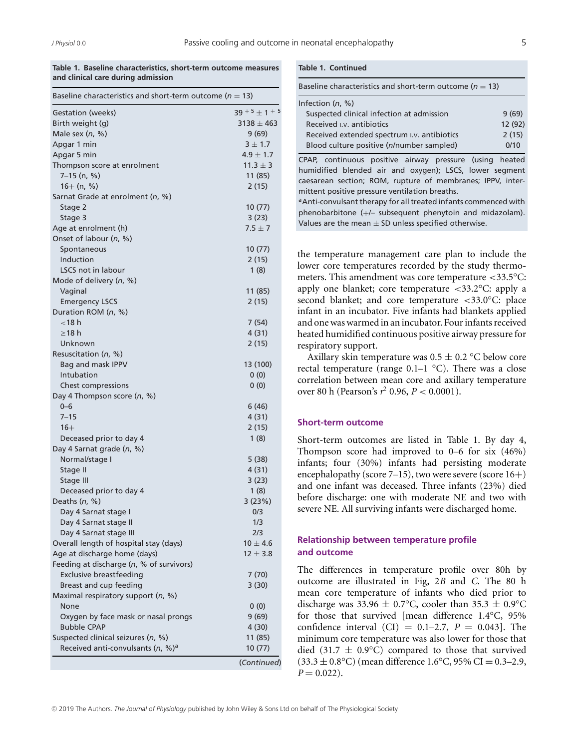**Table 1. Baseline characteristics, short-term outcome measures and clinical care during admission**

| Baseline characteristics and short-term outcome ( $n = 13$ ) |                    |
|--------------------------------------------------------------|--------------------|
| Gestation (weeks)                                            | $39 + 5 \pm 1 + 5$ |
| Birth weight (g)                                             | $3138 \pm 463$     |
| Male sex $(n, %)$                                            | 9(69)              |
| Apgar 1 min                                                  | $3 \pm 1.7$        |
| Apgar 5 min                                                  | $4.9 \pm 1.7$      |
| Thompson score at enrolment                                  | $11.3 \pm 3$       |
| $7-15$ (n, %)                                                | 11 (85)            |
| $16+ (n, %)$                                                 | 2(15)              |
| Sarnat Grade at enrolment (n, %)                             |                    |
| Stage 2                                                      | 10 (77)            |
| Stage 3                                                      | 3(23)              |
| Age at enrolment (h)                                         | $7.5 \pm 7$        |
| Onset of labour (n, %)                                       |                    |
| Spontaneous                                                  | 10 (77)            |
| Induction                                                    | 2(15)              |
| <b>LSCS not in labour</b>                                    | 1(8)               |
| Mode of delivery (n, %)                                      |                    |
| Vaginal                                                      | 11 (85)            |
| <b>Emergency LSCS</b>                                        | 2(15)              |
| Duration ROM (n, %)                                          |                    |
| $<$ 18 $h$                                                   | 7 (54)             |
| $\geq$ 18 h                                                  | 4 (31)             |
| Unknown                                                      | 2(15)              |
| Resuscitation (n, %)                                         |                    |
| Bag and mask IPPV                                            | 13 (100)           |
| Intubation                                                   | 0(0)               |
| Chest compressions                                           | 0(0)               |
| Day 4 Thompson score (n, %)                                  |                    |
| $0 - 6$                                                      | 6 (46)             |
| $7 - 15$                                                     | 4(31)              |
| $16+$                                                        | 2(15)              |
| Deceased prior to day 4                                      | 1(8)               |
| Day 4 Sarnat grade (n, %)                                    |                    |
| Normal/stage I                                               | 5(38)              |
| Stage II                                                     | 4 (31)             |
| Stage III                                                    | 3(23)              |
| Deceased prior to day 4                                      | 1(8)               |
| Deaths $(n, %)$                                              | 3(23%)             |
| Day 4 Sarnat stage I                                         | 0/3                |
| Day 4 Sarnat stage II                                        | 1/3                |
| Day 4 Sarnat stage III                                       | 2/3                |
| Overall length of hospital stay (days)                       | $10 \pm 4.6$       |
| Age at discharge home (days)                                 | $12 \pm 3.8$       |
| Feeding at discharge (n, % of survivors)                     |                    |
| <b>Exclusive breastfeeding</b>                               | 7(70)              |
| Breast and cup feeding                                       | 3(30)              |
| Maximal respiratory support (n, %)                           |                    |
| None                                                         | 0(0)               |
| Oxygen by face mask or nasal prongs                          | 9(69)              |
| <b>Bubble CPAP</b>                                           | 4(30)              |
| Suspected clinical seizures (n, %)                           | 11 (85)            |
| Received anti-convulsants (n, %) <sup>a</sup>                | 10 (77)            |
|                                                              | (Continued)        |
|                                                              |                    |

## **Table 1. Continued**

| Baseline characteristics and short-term outcome ( $n = 13$ ) |         |  |  |  |
|--------------------------------------------------------------|---------|--|--|--|
| Infection $(n, %)$                                           |         |  |  |  |
| Suspected clinical infection at admission                    | 9(69)   |  |  |  |
| Received I.v. antibiotics                                    | 12 (92) |  |  |  |
| Received extended spectrum I.V. antibiotics                  | 2(15)   |  |  |  |
| Blood culture positive (n/number sampled)                    | 0/10    |  |  |  |
|                                                              |         |  |  |  |

CPAP, continuous positive airway pressure (using heated humidified blended air and oxygen); LSCS, lower segment caesarean section; ROM, rupture of membranes; IPPV, intermittent positive pressure ventilation breaths.

a Anti-convulsant therapy for all treated infants commenced with phenobarbitone (+/– subsequent phenytoin and midazolam). Values are the mean  $\pm$  SD unless specified otherwise.

the temperature management care plan to include the lower core temperatures recorded by the study thermometers. This amendment was core temperature <33.5°C: apply one blanket; core temperature  $\langle 33.2^{\circ}$ C: apply a second blanket; and core temperature <33.0°C: place infant in an incubator. Five infants had blankets applied and one was warmed in an incubator. Four infants received heated humidified continuous positive airway pressure for respiratory support.

Axillary skin temperature was  $0.5 \pm 0.2$  °C below core rectal temperature (range  $0.1-1$  °C). There was a close correlation between mean core and axillary temperature over 80 h (Pearson's *r* <sup>2</sup> 0.96, *P* < 0.0001).

# **Short-term outcome**

Short-term outcomes are listed in Table 1. By day 4, Thompson score had improved to 0–6 for six (46%) infants; four (30%) infants had persisting moderate encephalopathy (score 7–15), two were severe (score 16+) and one infant was deceased. Three infants (23%) died before discharge: one with moderate NE and two with severe NE. All surviving infants were discharged home.

# **Relationship between temperature profile and outcome**

The differences in temperature profile over 80h by outcome are illustrated in Fig, 2*B* and *C*. The 80 h mean core temperature of infants who died prior to discharge was  $33.96 \pm 0.7$ °C, cooler than  $35.3 \pm 0.9$ °C for those that survived [mean difference 1.4°C, 95% confidence interval (CI) =  $0.1-2.7$ ,  $P = 0.043$ ]. The minimum core temperature was also lower for those that died (31.7  $\pm$  0.9°C) compared to those that survived  $(33.3 \pm 0.8$ °C) (mean difference 1.6°C, 95% CI = 0.3–2.9,  $P = 0.022$ .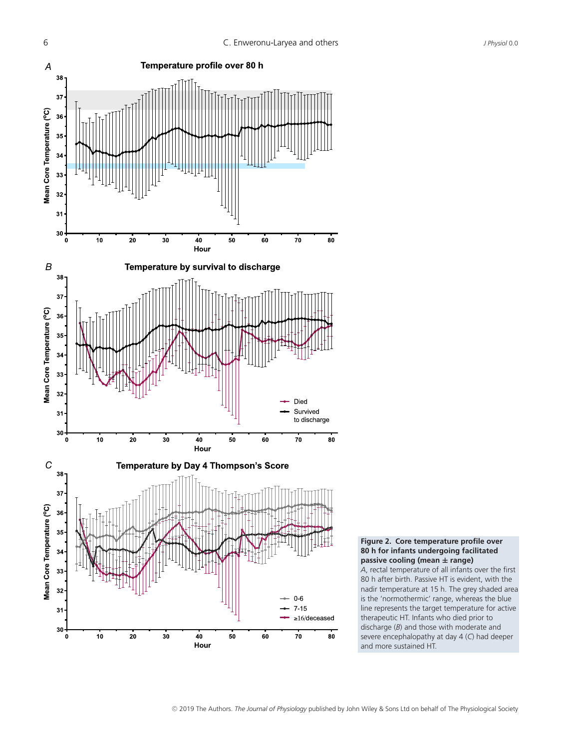



*A*, rectal temperature of all infants over the first 80 h after birth. Passive HT is evident, with the nadir temperature at 15 h. The grey shaded area is the 'normothermic' range, whereas the blue line represents the target temperature for active therapeutic HT. Infants who died prior to discharge (*B*) and those with moderate and severe encephalopathy at day 4 (*C*) had deeper and more sustained HT.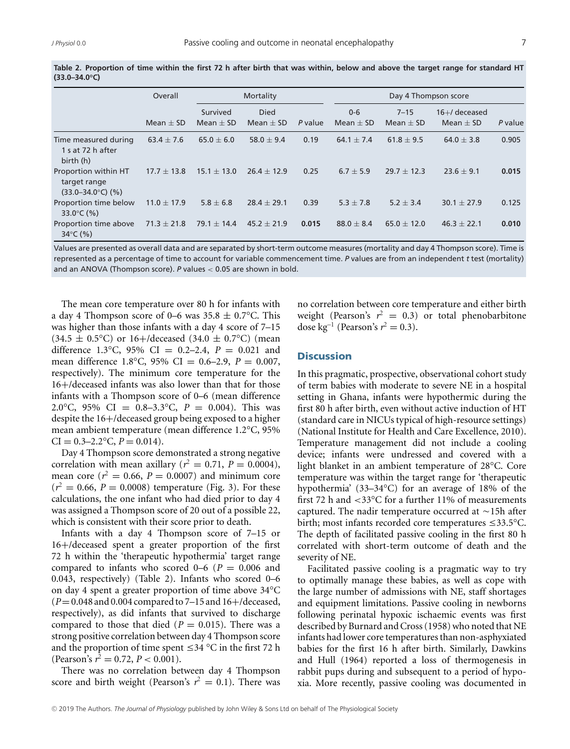|                                                                      | Overall         | Mortality                 |                              |         | Day 4 Thompson score   |                           |                                    |         |
|----------------------------------------------------------------------|-----------------|---------------------------|------------------------------|---------|------------------------|---------------------------|------------------------------------|---------|
|                                                                      | Mean $\pm$ SD   | Survived<br>Mean $\pm$ SD | <b>Died</b><br>Mean $\pm$ SD | P value | $0 - 6$<br>$Mean + SD$ | $7 - 15$<br>Mean $\pm$ SD | $16 +$ / deceased<br>Mean $\pm$ SD | P value |
| Time measured during<br>1 s at 72 h after<br>birth (h)               | $63.4 \pm 7.6$  | $65.0 \pm 6.0$            | 58.0 $\pm$ 9.4               | 0.19    | 64.1 $\pm$ 7.4         | $61.8 + 9.5$              | 64.0 $\pm$ 3.8                     | 0.905   |
| Proportion within HT<br>target range<br>$(33.0 - 34.0^{\circ}C)$ (%) | $17.7 \pm 13.8$ | $15.1 \pm 13.0$           | $26.4 \pm 12.9$              | 0.25    | $6.7 + 5.9$            | $29.7 \pm 12.3$           | $23.6 \pm 9.1$                     | 0.015   |
| Proportion time below<br>33.0 $\degree$ C (%)                        | $11.0 \pm 17.9$ | $5.8 \pm 6.8$             | $28.4 \pm 29.1$              | 0.39    | $5.3 + 7.8$            | $5.2 + 3.4$               | $30.1 \pm 27.9$                    | 0.125   |
| Proportion time above<br>34 $\degree$ C (%)                          | $71.3 \pm 21.8$ | 79.1 $\pm$ 14.4           | $45.2 \pm 21.9$              | 0.015   | $88.0 + 8.4$           | $65.0 \pm 12.0$           | $46.3 \pm 22.1$                    | 0.010   |

**Table 2. Proportion of time within the first 72 h after birth that was within, below and above the target range for standard HT (33.0–34.0°C)**

Values are presented as overall data and are separated by short-term outcome measures (mortality and day 4 Thompson score). Time is represented as a percentage of time to account for variable commencement time. *P* values are from an independent *t* test (mortality) and an ANOVA (Thompson score). *P* values < 0.05 are shown in bold.

The mean core temperature over 80 h for infants with a day 4 Thompson score of 0–6 was  $35.8 \pm 0.7$ °C. This was higher than those infants with a day 4 score of 7–15  $(34.5 \pm 0.5^{\circ}C)$  or 16+/deceased  $(34.0 \pm 0.7^{\circ}C)$  (mean difference 1.3°C, 95% CI <sup>=</sup> 0.2–2.4, *<sup>P</sup>* <sup>=</sup> 0.021 and mean difference 1.8°C, 95% CI <sup>=</sup> 0.6–2.9, *<sup>P</sup>* <sup>=</sup> 0.007, respectively). The minimum core temperature for the 16+/deceased infants was also lower than that for those infants with a Thompson score of 0–6 (mean difference 2.0°C, 95% CI =  $0.8-3.3$ °C,  $P = 0.004$ ). This was despite the 16+/deceased group being exposed to a higher mean ambient temperature (mean difference 1.2°C, 95%  $CI = 0.3 - 2.2$ °C,  $P = 0.014$ ).

Day 4 Thompson score demonstrated a strong negative correlation with mean axillary ( $r^2 = 0.71$ ,  $P = 0.0004$ ), mean core ( $r^2 = 0.66$ ,  $P = 0.0007$ ) and minimum core  $(r^2 = 0.66, P = 0.0008)$  temperature (Fig. 3). For these calculations, the one infant who had died prior to day 4 was assigned a Thompson score of 20 out of a possible 22, which is consistent with their score prior to death.

Infants with a day 4 Thompson score of 7–15 or 16+/deceased spent a greater proportion of the first 72 h within the 'therapeutic hypothermia' target range compared to infants who scored  $0-6$  ( $P = 0.006$  and 0.043, respectively) (Table 2). Infants who scored 0–6 on day 4 spent a greater proportion of time above 34°C (*P*=0.048 and 0.004 compared to 7–15 and 16+/deceased, respectively), as did infants that survived to discharge compared to those that died  $(P = 0.015)$ . There was a strong positive correlation between day 4 Thompson score and the proportion of time spent  $\leq$  34 °C in the first 72 h (Pearson's  $r^2 = 0.72$ ,  $P < 0.001$ ).

There was no correlation between day 4 Thompson score and birth weight (Pearson's  $r^2 = 0.1$ ). There was

no correlation between core temperature and either birth weight (Pearson's  $r^2 = 0.3$ ) or total phenobarbitone dose kg<sup>-1</sup> (Pearson's  $r^2 = 0.3$ ).

# **Discussion**

In this pragmatic, prospective, observational cohort study of term babies with moderate to severe NE in a hospital setting in Ghana, infants were hypothermic during the first 80 h after birth, even without active induction of HT (standard care in NICUs typical of high-resource settings) (National Institute for Health and Care Excellence, 2010). Temperature management did not include a cooling device; infants were undressed and covered with a light blanket in an ambient temperature of 28°C. Core temperature was within the target range for 'therapeutic hypothermia' (33–34°C) for an average of 18% of the first 72 h and  $<33^{\circ}$ C for a further 11% of measurements captured. The nadir temperature occurred at  $\sim$  15h after birth; most infants recorded core temperatures  $\leq 33.5^{\circ}$ C. The depth of facilitated passive cooling in the first 80 h correlated with short-term outcome of death and the severity of NE.

Facilitated passive cooling is a pragmatic way to try to optimally manage these babies, as well as cope with the large number of admissions with NE, staff shortages and equipment limitations. Passive cooling in newborns following perinatal hypoxic ischaemic events was first described by Burnard and Cross (1958) who noted that NE infants had lower core temperatures than non-asphyxiated babies for the first 16 h after birth. Similarly, Dawkins and Hull (1964) reported a loss of thermogenesis in rabbit pups during and subsequent to a period of hypoxia. More recently, passive cooling was documented in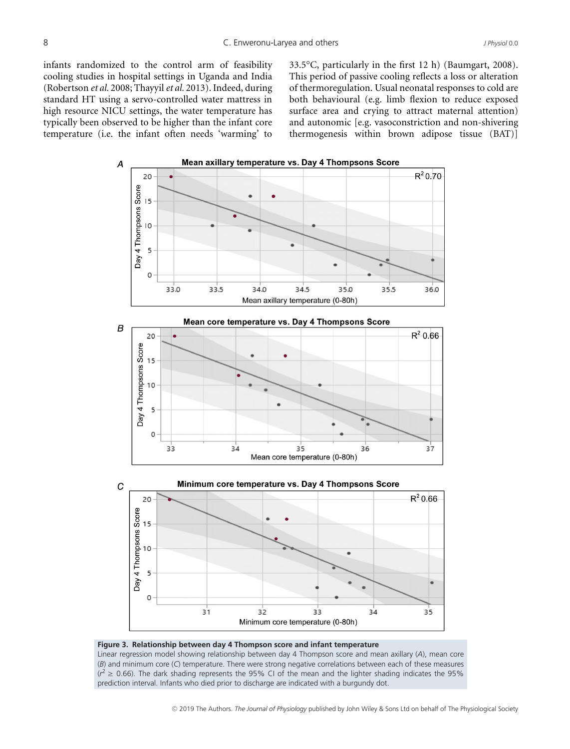infants randomized to the control arm of feasibility cooling studies in hospital settings in Uganda and India (Robertson *et al.* 2008; Thayyil*et al.* 2013). Indeed, during standard HT using a servo-controlled water mattress in high resource NICU settings, the water temperature has typically been observed to be higher than the infant core temperature (i.e. the infant often needs 'warming' to 33.5°C, particularly in the first 12 h) (Baumgart, 2008). This period of passive cooling reflects a loss or alteration of thermoregulation. Usual neonatal responses to cold are both behavioural (e.g. limb flexion to reduce exposed surface area and crying to attract maternal attention) and autonomic [e.g. vasoconstriction and non-shivering thermogenesis within brown adipose tissue (BAT)]





Linear regression model showing relationship between day 4 Thompson score and mean axillary (*A*), mean core (*B*) and minimum core (*C*) temperature. There were strong negative correlations between each of these measures  $(r^2 \ge 0.66)$ . The dark shading represents the 95% CI of the mean and the lighter shading indicates the 95% prediction interval. Infants who died prior to discharge are indicated with a burgundy dot.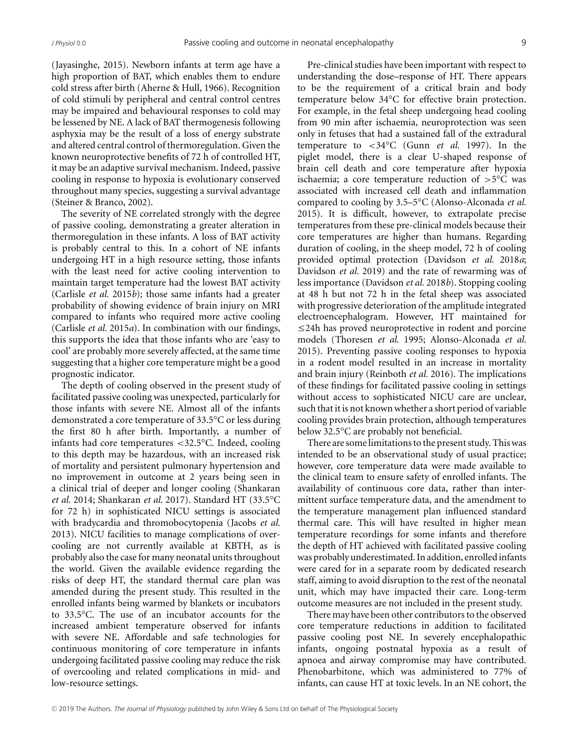(Jayasinghe, 2015). Newborn infants at term age have a high proportion of BAT, which enables them to endure cold stress after birth (Aherne & Hull, 1966). Recognition of cold stimuli by peripheral and central control centres may be impaired and behavioural responses to cold may be lessened by NE. A lack of BAT thermogenesis following asphyxia may be the result of a loss of energy substrate and altered central control of thermoregulation. Given the known neuroprotective benefits of 72 h of controlled HT, it may be an adaptive survival mechanism. Indeed, passive cooling in response to hypoxia is evolutionary conserved throughout many species, suggesting a survival advantage (Steiner & Branco, 2002).

The severity of NE correlated strongly with the degree of passive cooling, demonstrating a greater alteration in thermoregulation in these infants. A loss of BAT activity is probably central to this. In a cohort of NE infants undergoing HT in a high resource setting, those infants with the least need for active cooling intervention to maintain target temperature had the lowest BAT activity (Carlisle *et al.* 2015*b*); those same infants had a greater probability of showing evidence of brain injury on MRI compared to infants who required more active cooling (Carlisle *et al.* 2015*a*). In combination with our findings, this supports the idea that those infants who are 'easy to cool' are probably more severely affected, at the same time suggesting that a higher core temperature might be a good prognostic indicator.

The depth of cooling observed in the present study of facilitated passive cooling was unexpected, particularly for those infants with severe NE. Almost all of the infants demonstrated a core temperature of 33.5°C or less during the first 80 h after birth. Importantly, a number of infants had core temperatures <32.5°C. Indeed, cooling to this depth may be hazardous, with an increased risk of mortality and persistent pulmonary hypertension and no improvement in outcome at 2 years being seen in a clinical trial of deeper and longer cooling (Shankaran *et al.* 2014; Shankaran *et al.* 2017). Standard HT (33.5°C for 72 h) in sophisticated NICU settings is associated with bradycardia and thromobocytopenia (Jacobs *et al.* 2013). NICU facilities to manage complications of overcooling are not currently available at KBTH, as is probably also the case for many neonatal units throughout the world. Given the available evidence regarding the risks of deep HT, the standard thermal care plan was amended during the present study. This resulted in the enrolled infants being warmed by blankets or incubators to 33.5°C. The use of an incubator accounts for the increased ambient temperature observed for infants with severe NE. Affordable and safe technologies for continuous monitoring of core temperature in infants undergoing facilitated passive cooling may reduce the risk of overcooling and related complications in mid- and low-resource settings.

Pre-clinical studies have been important with respect to understanding the dose–response of HT. There appears to be the requirement of a critical brain and body temperature below 34°C for effective brain protection. For example, in the fetal sheep undergoing head cooling from 90 min after ischaemia, neuroprotection was seen only in fetuses that had a sustained fall of the extradural temperature to <34°C (Gunn *et al.* 1997). In the piglet model, there is a clear U-shaped response of brain cell death and core temperature after hypoxia ischaemia; a core temperature reduction of  $>5^{\circ}$ C was associated with increased cell death and inflammation compared to cooling by 3.5–5°C (Alonso-Alconada *et al.* 2015). It is difficult, however, to extrapolate precise temperatures from these pre-clinical models because their core temperatures are higher than humans. Regarding duration of cooling, in the sheep model, 72 h of cooling provided optimal protection (Davidson *et al.* 2018*a*; Davidson *et al.* 2019) and the rate of rewarming was of less importance (Davidson *et al.* 2018*b*). Stopping cooling at 48 h but not 72 h in the fetal sheep was associated with progressive deterioration of the amplitude integrated electroencephalogram. However, HT maintained for  $\leq$ 24h has proved neuroprotective in rodent and porcine models (Thoresen *et al.* 1995; Alonso-Alconada *et al.* 2015). Preventing passive cooling responses to hypoxia in a rodent model resulted in an increase in mortality and brain injury (Reinboth *et al.* 2016). The implications of these findings for facilitated passive cooling in settings without access to sophisticated NICU care are unclear, such that it is not known whether a short period of variable cooling provides brain protection, although temperatures below 32.5°C are probably not beneficial.

There are some limitations to the present study. This was intended to be an observational study of usual practice; however, core temperature data were made available to the clinical team to ensure safety of enrolled infants. The availability of continuous core data, rather than intermittent surface temperature data, and the amendment to the temperature management plan influenced standard thermal care. This will have resulted in higher mean temperature recordings for some infants and therefore the depth of HT achieved with facilitated passive cooling was probably underestimated. In addition, enrolledinfants were cared for in a separate room by dedicated research staff, aiming to avoid disruption to the rest of the neonatal unit, which may have impacted their care. Long-term outcome measures are not included in the present study.

There may have been other contributors to the observed core temperature reductions in addition to facilitated passive cooling post NE. In severely encephalopathic infants, ongoing postnatal hypoxia as a result of apnoea and airway compromise may have contributed. Phenobarbitone, which was administered to 77% of infants, can cause HT at toxic levels. In an NE cohort, the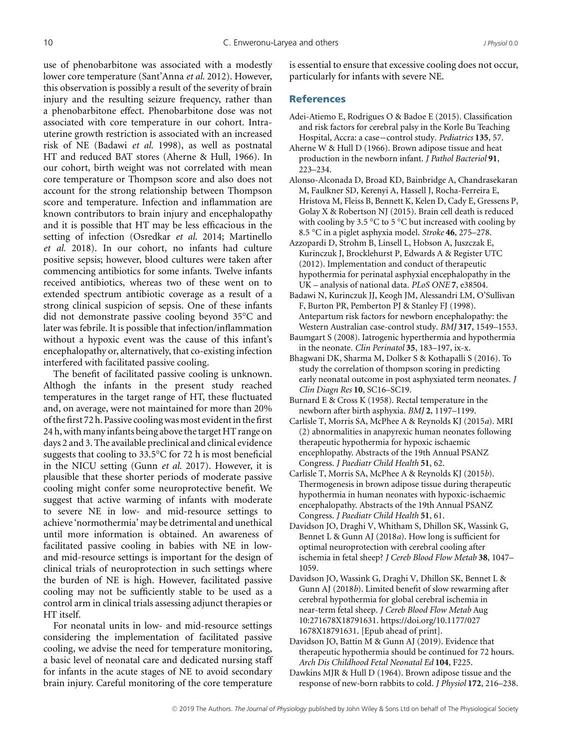use of phenobarbitone was associated with a modestly lower core temperature (Sant'Anna *et al.* 2012). However, this observation is possibly a result of the severity of brain injury and the resulting seizure frequency, rather than a phenobarbitone effect. Phenobarbitone dose was not associated with core temperature in our cohort. Intrauterine growth restriction is associated with an increased risk of NE (Badawi *et al.* 1998), as well as postnatal HT and reduced BAT stores (Aherne & Hull, 1966). In our cohort, birth weight was not correlated with mean core temperature or Thompson score and also does not account for the strong relationship between Thompson score and temperature. Infection and inflammation are known contributors to brain injury and encephalopathy and it is possible that HT may be less efficacious in the setting of infection (Osredkar *et al.* 2014; Martinello *et al.* 2018). In our cohort, no infants had culture positive sepsis; however, blood cultures were taken after commencing antibiotics for some infants. Twelve infants received antibiotics, whereas two of these went on to extended spectrum antibiotic coverage as a result of a strong clinical suspicion of sepsis. One of these infants did not demonstrate passive cooling beyond 35°C and later was febrile. It is possible that infection/inflammation without a hypoxic event was the cause of this infant's encephalopathy or, alternatively, that co-existing infection interfered with facilitated passive cooling.

The benefit of facilitated passive cooling is unknown. Althogh the infants in the present study reached temperatures in the target range of HT, these fluctuated and, on average, were not maintained for more than 20% of the first 72 h. Passive cooling wasmost evident in the first 24 h, with many infants being above the target HT range on days 2 and 3. The available preclinical and clinical evidence suggests that cooling to 33.5°C for 72 h is most beneficial in the NICU setting (Gunn *et al.* 2017). However, it is plausible that these shorter periods of moderate passive cooling might confer some neuroprotective benefit. We suggest that active warming of infants with moderate to severe NE in low- and mid-resource settings to achieve 'normothermia' may be detrimental and unethical until more information is obtained. An awareness of facilitated passive cooling in babies with NE in lowand mid-resource settings is important for the design of clinical trials of neuroprotection in such settings where the burden of NE is high. However, facilitated passive cooling may not be sufficiently stable to be used as a control arm in clinical trials assessing adjunct therapies or HT itself.

For neonatal units in low- and mid-resource settings considering the implementation of facilitated passive cooling, we advise the need for temperature monitoring, a basic level of neonatal care and dedicated nursing staff for infants in the acute stages of NE to avoid secondary brain injury. Careful monitoring of the core temperature

is essential to ensure that excessive cooling does not occur, particularly for infants with severe NE.

#### **References**

- Adei-Atiemo E, Rodrigues O & Badoe E (2015). Classification and risk factors for cerebral palsy in the Korle Bu Teaching Hospital, Accra: a case−control study. *Pediatrics* **135**, 57.
- Aherne W & Hull D (1966). Brown adipose tissue and heat production in the newborn infant. *J Pathol Bacteriol* **91**, 223–234.
- Alonso-Alconada D, Broad KD, Bainbridge A, Chandrasekaran M, Faulkner SD, Kerenyi A, Hassell J, Rocha-Ferreira E, Hristova M, Fleiss B, Bennett K, Kelen D, Cady E, Gressens P, Golay X & Robertson NJ (2015). Brain cell death is reduced with cooling by 3.5  $\degree$ C to 5  $\degree$ C but increased with cooling by 8.5 °C in a piglet asphyxia model. *Stroke* **46**, 275–278.
- Azzopardi D, Strohm B, Linsell L, Hobson A, Juszczak E, Kurinczuk J, Brocklehurst P, Edwards A & Register UTC (2012). Implementation and conduct of therapeutic hypothermia for perinatal asphyxial encephalopathy in the UK – analysis of national data. *PLoS ONE* **7**, e38504.
- Badawi N, Kurinczuk JJ, Keogh JM, Alessandri LM, O'Sullivan F, Burton PR, Pemberton PJ & Stanley FJ (1998). Antepartum risk factors for newborn encephalopathy: the Western Australian case-control study. *BMJ* **317**, 1549–1553.
- Baumgart S (2008). Iatrogenic hyperthermia and hypothermia in the neonate. *Clin Perinatol* **35**, 183–197, ix-x.
- Bhagwani DK, Sharma M, Dolker S & Kothapalli S (2016). To study the correlation of thompson scoring in predicting early neonatal outcome in post asphyxiated term neonates. *J Clin Diagn Res* **10**, SC16–SC19.
- Burnard E & Cross K (1958). Rectal temperature in the newborn after birth asphyxia. *BMJ* **2**, 1197–1199.
- Carlisle T, Morris SA, McPhee A & Reynolds KJ (2015*a*). MRI (2) abnormalities in anapyrexic human neonates following therapeutic hypothermia for hypoxic ischaemic encephlopathy. Abstracts of the 19th Annual PSANZ Congress. *J Paediatr Child Health* **51**, 62.
- Carlisle T, Morris SA, McPhee A & Reynolds KJ (2015*b*). Thermogenesis in brown adipose tissue during therapeutic hypothermia in human neonates with hypoxic-ischaemic encephalopathy. Abstracts of the 19th Annual PSANZ Congress. *J Paediatr Child Health* **51**, 61.
- Davidson JO, Draghi V, Whitham S, Dhillon SK, Wassink G, Bennet L & Gunn AJ (2018*a*). How long is sufficient for optimal neuroprotection with cerebral cooling after ischemia in fetal sheep? *J Cereb Blood Flow Metab* **38**, 1047– 1059.
- Davidson JO, Wassink G, Draghi V, Dhillon SK, Bennet L & Gunn AJ (2018*b*). Limited benefit of slow rewarming after cerebral hypothermia for global cerebral ischemia in near-term fetal sheep. *J Cereb Blood Flow Metab* Aug 10:271678X18791631. [https://doi.org/10.1177/027](https://doi.org/10.11770271678X18791631) [1678X18791631.](https://doi.org/10.11770271678X18791631) [Epub ahead of print].
- Davidson JO, Battin M & Gunn AJ (2019). Evidence that therapeutic hypothermia should be continued for 72 hours. *Arch Dis Childhood Fetal Neonatal Ed* **104**, F225.
- Dawkins MJR & Hull D (1964). Brown adipose tissue and the response of new-born rabbits to cold. *J Physiol* **172**, 216–238.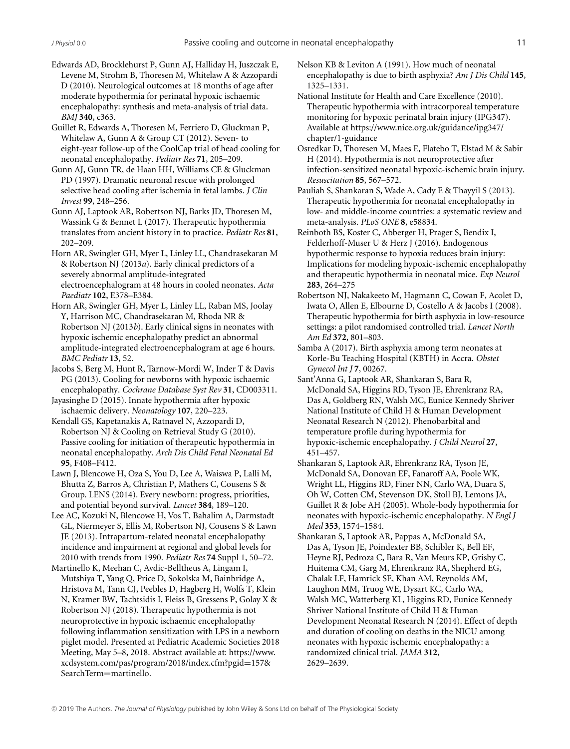- Edwards AD, Brocklehurst P, Gunn AJ, Halliday H, Juszczak E, Levene M, Strohm B, Thoresen M, Whitelaw A & Azzopardi D (2010). Neurological outcomes at 18 months of age after moderate hypothermia for perinatal hypoxic ischaemic encephalopathy: synthesis and meta-analysis of trial data. *BMJ* **340**, c363.
- Guillet R, Edwards A, Thoresen M, Ferriero D, Gluckman P, Whitelaw A, Gunn A & Group CT (2012). Seven- to eight-year follow-up of the CoolCap trial of head cooling for neonatal encephalopathy. *Pediatr Res* **71**, 205–209.
- Gunn AJ, Gunn TR, de Haan HH, Williams CE & Gluckman PD (1997). Dramatic neuronal rescue with prolonged selective head cooling after ischemia in fetal lambs. *J Clin Invest* **99**, 248–256.
- Gunn AJ, Laptook AR, Robertson NJ, Barks JD, Thoresen M, Wassink G & Bennet L (2017). Therapeutic hypothermia translates from ancient history in to practice. *Pediatr Res* **81**, 202–209.
- Horn AR, Swingler GH, Myer L, Linley LL, Chandrasekaran M & Robertson NJ (2013*a*). Early clinical predictors of a severely abnormal amplitude-integrated electroencephalogram at 48 hours in cooled neonates. *Acta Paediatr* **102**, E378–E384.
- Horn AR, Swingler GH, Myer L, Linley LL, Raban MS, Joolay Y, Harrison MC, Chandrasekaran M, Rhoda NR & Robertson NJ (2013*b*). Early clinical signs in neonates with hypoxic ischemic encephalopathy predict an abnormal amplitude-integrated electroencephalogram at age 6 hours. *BMC Pediatr* **13**, 52.
- Jacobs S, Berg M, Hunt R, Tarnow-Mordi W, Inder T & Davis PG (2013). Cooling for newborns with hypoxic ischaemic encephalopathy. *Cochrane Database Syst Rev* **31**, CD003311.
- Jayasinghe D (2015). Innate hypothermia after hypoxic ischaemic delivery. *Neonatology* **107**, 220–223.
- Kendall GS, Kapetanakis A, Ratnavel N, Azzopardi D, Robertson NJ & Cooling on Retrieval Study G (2010). Passive cooling for initiation of therapeutic hypothermia in neonatal encephalopathy. *Arch Dis Child Fetal Neonatal Ed* **95**, F408–F412.
- Lawn J, Blencowe H, Oza S, You D, Lee A, Waiswa P, Lalli M, Bhutta Z, Barros A, Christian P, Mathers C, Cousens S & Group. LENS (2014). Every newborn: progress, priorities, and potential beyond survival. *Lancet* **384**, 189–120.
- Lee AC, Kozuki N, Blencowe H, Vos T, Bahalim A, Darmstadt GL, Niermeyer S, Ellis M, Robertson NJ, Cousens S & Lawn JE (2013). Intrapartum-related neonatal encephalopathy incidence and impairment at regional and global levels for 2010 with trends from 1990. *Pediatr Res* **74** Suppl 1, 50–72.
- Martinello K, Meehan C, Avdic-Belltheus A, Lingam I, Mutshiya T, Yang Q, Price D, Sokolska M, Bainbridge A, Hristova M, Tann CJ, Peebles D, Hagberg H, Wolfs T, Klein N, Kramer BW, Tachtsidis I, Fleiss B, Gressens P, Golay X & Robertson NJ (2018). Therapeutic hypothermia is not neuroprotective in hypoxic ischaemic encephalopathy following inflammation sensitization with LPS in a newborn piglet model. Presented at Pediatric Academic Societies 2018 Meeting, May 5–8, 2018. Abstract available at: [https://www.](https://www.xcdsystem.com/pas/program/2018/index.cfm?pgid=157SearchTerm=martinello) [xcdsystem.com/pas/program/2018/index.cfm?pgid](https://www.xcdsystem.com/pas/program/2018/index.cfm?pgid=157SearchTerm=martinello)=157& [SearchTerm](https://www.xcdsystem.com/pas/program/2018/index.cfm?pgid=157SearchTerm=martinello)=martinello.
- Nelson KB & Leviton A (1991). How much of neonatal encephalopathy is due to birth asphyxia? *Am J Dis Child* **145**, 1325–1331.
- National Institute for Health and Care Excellence (2010). Therapeutic hypothermia with intracorporeal temperature monitoring for hypoxic perinatal brain injury (IPG347). Available at [https://www.nice.org.uk/guidance/ipg347/](https://www.nice.org.uk/guidance/ipg347/chapter/1-guidance) [chapter/1-guidance](https://www.nice.org.uk/guidance/ipg347/chapter/1-guidance)
- Osredkar D, Thoresen M, Maes E, Flatebo T, Elstad M & Sabir H (2014). Hypothermia is not neuroprotective after infection-sensitized neonatal hypoxic-ischemic brain injury. *Resuscitation* **85**, 567–572.
- Pauliah S, Shankaran S, Wade A, Cady E & Thayyil S (2013). Therapeutic hypothermia for neonatal encephalopathy in low- and middle-income countries: a systematic review and meta-analysis. *PLoS ONE* **8**, e58834.
- Reinboth BS, Koster C, Abberger H, Prager S, Bendix I, Felderhoff-Muser U & Herz J (2016). Endogenous hypothermic response to hypoxia reduces brain injury: Implications for modeling hypoxic-ischemic encephalopathy and therapeutic hypothermia in neonatal mice. *Exp Neurol* **283**, 264–275
- Robertson NJ, Nakakeeto M, Hagmann C, Cowan F, Acolet D, Iwata O, Allen E, Elbourne D, Costello A & Jacobs I (2008). Therapeutic hypothermia for birth asphyxia in low-resource settings: a pilot randomised controlled trial. *Lancet North Am Ed* **372**, 801–803.
- Samba A (2017). Birth asphyxia among term neonates at Korle-Bu Teaching Hospital (KBTH) in Accra. *Obstet Gynecol Int J* **7**, 00267.
- Sant'Anna G, Laptook AR, Shankaran S, Bara R, McDonald SA, Higgins RD, Tyson JE, Ehrenkranz RA, Das A, Goldberg RN, Walsh MC, Eunice Kennedy Shriver National Institute of Child H & Human Development Neonatal Research N (2012). Phenobarbital and temperature profile during hypothermia for hypoxic-ischemic encephalopathy. *J Child Neurol* **27**, 451–457.
- Shankaran S, Laptook AR, Ehrenkranz RA, Tyson JE, McDonald SA, Donovan EF, Fanaroff AA, Poole WK, Wright LL, Higgins RD, Finer NN, Carlo WA, Duara S, Oh W, Cotten CM, Stevenson DK, Stoll BJ, Lemons JA, Guillet R & Jobe AH (2005). Whole-body hypothermia for neonates with hypoxic-ischemic encephalopathy. *N Engl J Med* **353**, 1574–1584.
- Shankaran S, Laptook AR, Pappas A, McDonald SA, Das A, Tyson JE, Poindexter BB, Schibler K, Bell EF, Heyne RJ, Pedroza C, Bara R, Van Meurs KP, Grisby C, Huitema CM, Garg M, Ehrenkranz RA, Shepherd EG, Chalak LF, Hamrick SE, Khan AM, Reynolds AM, Laughon MM, Truog WE, Dysart KC, Carlo WA, Walsh MC, Watterberg KL, Higgins RD, Eunice Kennedy Shriver National Institute of Child H & Human Development Neonatal Research N (2014). Effect of depth and duration of cooling on deaths in the NICU among neonates with hypoxic ischemic encephalopathy: a randomized clinical trial. *JAMA* **312**, 2629–2639.